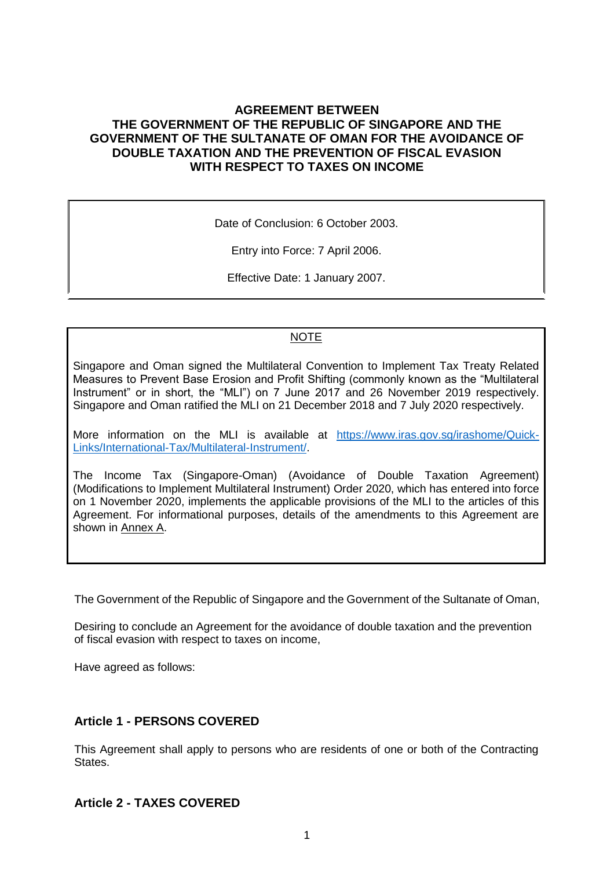## **AGREEMENT BETWEEN THE GOVERNMENT OF THE REPUBLIC OF SINGAPORE AND THE GOVERNMENT OF THE SULTANATE OF OMAN FOR THE AVOIDANCE OF DOUBLE TAXATION AND THE PREVENTION OF FISCAL EVASION WITH RESPECT TO TAXES ON INCOME**

Date of Conclusion: 6 October 2003.

Entry into Force: 7 April 2006.

Effective Date: 1 January 2007.

#### **NOTE**

Singapore and Oman signed the Multilateral Convention to Implement Tax Treaty Related Measures to Prevent Base Erosion and Profit Shifting (commonly known as the "Multilateral Instrument" or in short, the "MLI") on 7 June 2017 and 26 November 2019 respectively. Singapore and Oman ratified the MLI on 21 December 2018 and 7 July 2020 respectively.

More information on the MLI is available at [https://www.iras.gov.sg/irashome/Quick-](https://www.iras.gov.sg/irashome/Quick-Links/International-Tax/Multilateral-Instrument/)[Links/International-Tax/Multilateral-Instrument/.](https://www.iras.gov.sg/irashome/Quick-Links/International-Tax/Multilateral-Instrument/)

The Income Tax (Singapore-Oman) (Avoidance of Double Taxation Agreement) (Modifications to Implement Multilateral Instrument) Order 2020, which has entered into force on 1 November 2020, implements the applicable provisions of the MLI to the articles of this Agreement. For informational purposes, details of the amendments to this Agreement are shown in Annex A.

The Government of the Republic of Singapore and the Government of the Sultanate of Oman,

Desiring to conclude an Agreement for the avoidance of double taxation and the prevention of fiscal evasion with respect to taxes on income,

Have agreed as follows:

## **Article 1 - PERSONS COVERED**

This Agreement shall apply to persons who are residents of one or both of the Contracting States.

#### **Article 2 - TAXES COVERED**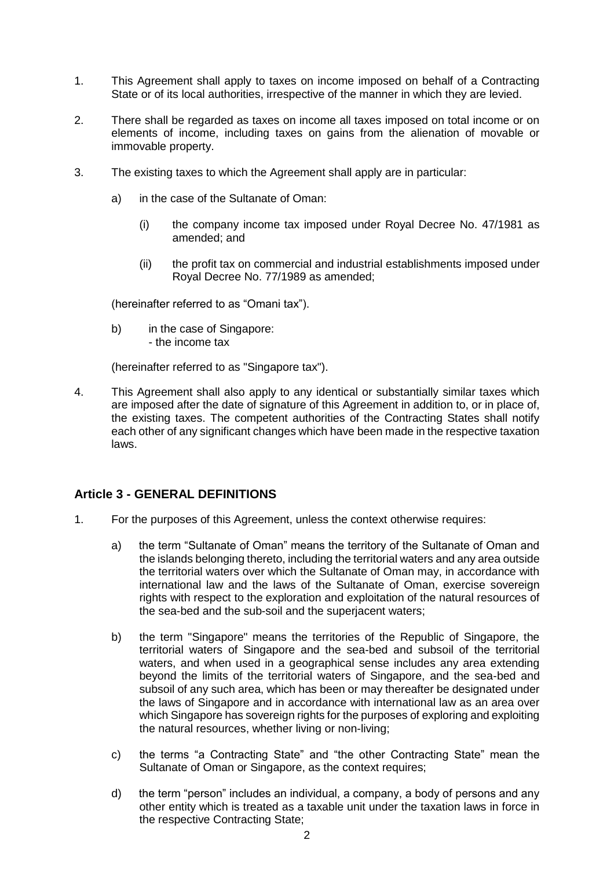- 1. This Agreement shall apply to taxes on income imposed on behalf of a Contracting State or of its local authorities, irrespective of the manner in which they are levied.
- 2. There shall be regarded as taxes on income all taxes imposed on total income or on elements of income, including taxes on gains from the alienation of movable or immovable property.
- 3. The existing taxes to which the Agreement shall apply are in particular:
	- a) in the case of the Sultanate of Oman:
		- (i) the company income tax imposed under Royal Decree No. 47/1981 as amended; and
		- (ii) the profit tax on commercial and industrial establishments imposed under Royal Decree No. 77/1989 as amended;

(hereinafter referred to as "Omani tax").

b) in the case of Singapore: - the income tax

(hereinafter referred to as "Singapore tax").

4. This Agreement shall also apply to any identical or substantially similar taxes which are imposed after the date of signature of this Agreement in addition to, or in place of, the existing taxes. The competent authorities of the Contracting States shall notify each other of any significant changes which have been made in the respective taxation laws.

## **Article 3 - GENERAL DEFINITIONS**

- 1. For the purposes of this Agreement, unless the context otherwise requires:
	- a) the term "Sultanate of Oman" means the territory of the Sultanate of Oman and the islands belonging thereto, including the territorial waters and any area outside the territorial waters over which the Sultanate of Oman may, in accordance with international law and the laws of the Sultanate of Oman, exercise sovereign rights with respect to the exploration and exploitation of the natural resources of the sea-bed and the sub-soil and the superjacent waters;
	- b) the term "Singapore" means the territories of the Republic of Singapore, the territorial waters of Singapore and the sea-bed and subsoil of the territorial waters, and when used in a geographical sense includes any area extending beyond the limits of the territorial waters of Singapore, and the sea-bed and subsoil of any such area, which has been or may thereafter be designated under the laws of Singapore and in accordance with international law as an area over which Singapore has sovereign rights for the purposes of exploring and exploiting the natural resources, whether living or non-living;
	- c) the terms "a Contracting State" and "the other Contracting State" mean the Sultanate of Oman or Singapore, as the context requires;
	- d) the term "person" includes an individual, a company, a body of persons and any other entity which is treated as a taxable unit under the taxation laws in force in the respective Contracting State;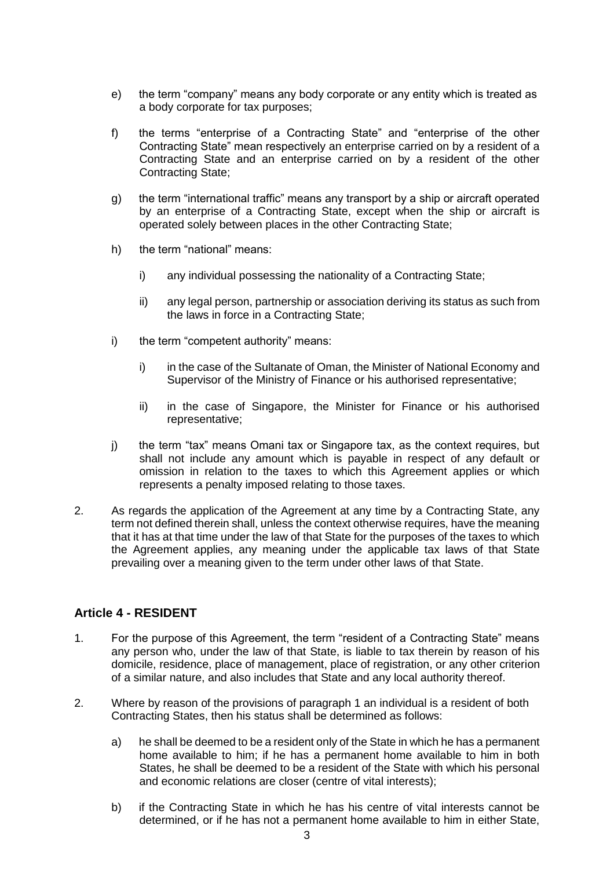- e) the term "company" means any body corporate or any entity which is treated as a body corporate for tax purposes;
- f) the terms "enterprise of a Contracting State" and "enterprise of the other Contracting State" mean respectively an enterprise carried on by a resident of a Contracting State and an enterprise carried on by a resident of the other Contracting State;
- g) the term "international traffic" means any transport by a ship or aircraft operated by an enterprise of a Contracting State, except when the ship or aircraft is operated solely between places in the other Contracting State;
- h) the term "national" means:
	- i) any individual possessing the nationality of a Contracting State;
	- ii) any legal person, partnership or association deriving its status as such from the laws in force in a Contracting State;
- i) the term "competent authority" means:
	- i) in the case of the Sultanate of Oman, the Minister of National Economy and Supervisor of the Ministry of Finance or his authorised representative;
	- ii) in the case of Singapore, the Minister for Finance or his authorised representative;
- j) the term "tax" means Omani tax or Singapore tax, as the context requires, but shall not include any amount which is payable in respect of any default or omission in relation to the taxes to which this Agreement applies or which represents a penalty imposed relating to those taxes.
- 2. As regards the application of the Agreement at any time by a Contracting State, any term not defined therein shall, unless the context otherwise requires, have the meaning that it has at that time under the law of that State for the purposes of the taxes to which the Agreement applies, any meaning under the applicable tax laws of that State prevailing over a meaning given to the term under other laws of that State.

## **Article 4 - RESIDENT**

- 1. For the purpose of this Agreement, the term "resident of a Contracting State" means any person who, under the law of that State, is liable to tax therein by reason of his domicile, residence, place of management, place of registration, or any other criterion of a similar nature, and also includes that State and any local authority thereof.
- 2. Where by reason of the provisions of paragraph 1 an individual is a resident of both Contracting States, then his status shall be determined as follows:
	- a) he shall be deemed to be a resident only of the State in which he has a permanent home available to him; if he has a permanent home available to him in both States, he shall be deemed to be a resident of the State with which his personal and economic relations are closer (centre of vital interests);
	- b) if the Contracting State in which he has his centre of vital interests cannot be determined, or if he has not a permanent home available to him in either State,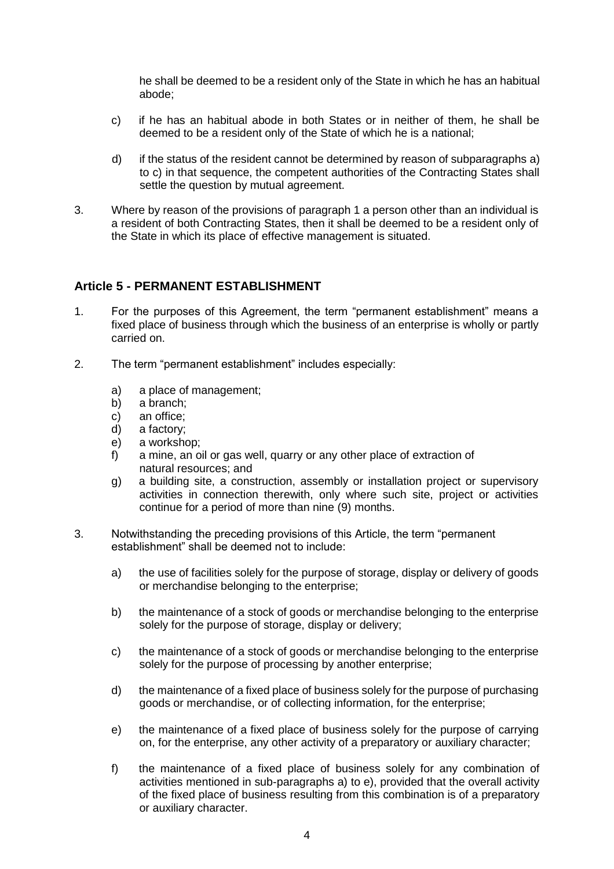he shall be deemed to be a resident only of the State in which he has an habitual abode;

- c) if he has an habitual abode in both States or in neither of them, he shall be deemed to be a resident only of the State of which he is a national;
- d) if the status of the resident cannot be determined by reason of subparagraphs a) to c) in that sequence, the competent authorities of the Contracting States shall settle the question by mutual agreement.
- 3. Where by reason of the provisions of paragraph 1 a person other than an individual is a resident of both Contracting States, then it shall be deemed to be a resident only of the State in which its place of effective management is situated.

#### **Article 5 - PERMANENT ESTABLISHMENT**

- 1. For the purposes of this Agreement, the term "permanent establishment" means a fixed place of business through which the business of an enterprise is wholly or partly carried on.
- 2. The term "permanent establishment" includes especially:
	- a) a place of management;
	- b) a branch;
	- c) an office;
	- d) a factory;
	- e) a workshop;
	- f) a mine, an oil or gas well, quarry or any other place of extraction of natural resources; and
	- g) a building site, a construction, assembly or installation project or supervisory activities in connection therewith, only where such site, project or activities continue for a period of more than nine (9) months.
- 3. Notwithstanding the preceding provisions of this Article, the term "permanent establishment" shall be deemed not to include:
	- a) the use of facilities solely for the purpose of storage, display or delivery of goods or merchandise belonging to the enterprise;
	- b) the maintenance of a stock of goods or merchandise belonging to the enterprise solely for the purpose of storage, display or delivery;
	- c) the maintenance of a stock of goods or merchandise belonging to the enterprise solely for the purpose of processing by another enterprise;
	- d) the maintenance of a fixed place of business solely for the purpose of purchasing goods or merchandise, or of collecting information, for the enterprise;
	- e) the maintenance of a fixed place of business solely for the purpose of carrying on, for the enterprise, any other activity of a preparatory or auxiliary character;
	- f) the maintenance of a fixed place of business solely for any combination of activities mentioned in sub-paragraphs a) to e), provided that the overall activity of the fixed place of business resulting from this combination is of a preparatory or auxiliary character.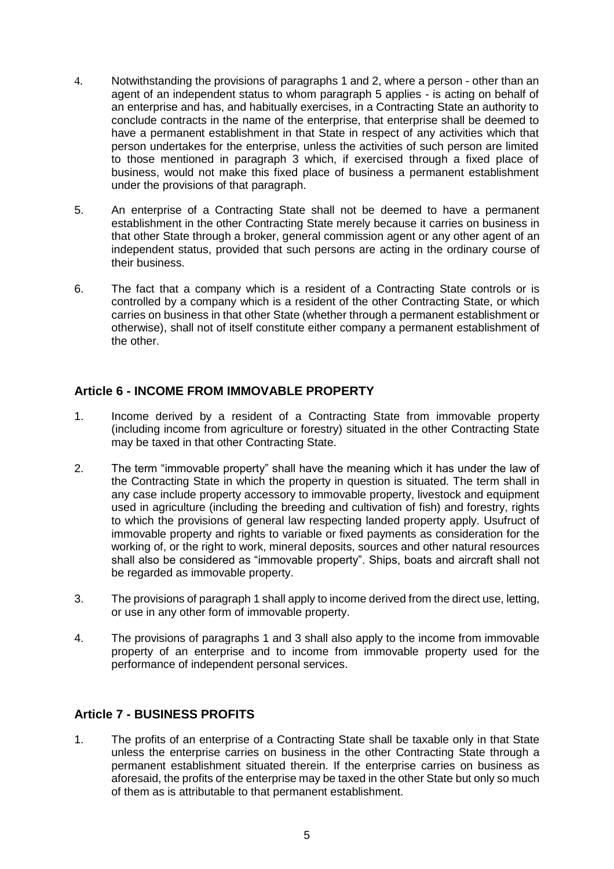- 4. Notwithstanding the provisions of paragraphs 1 and 2, where a person other than an agent of an independent status to whom paragraph 5 applies - is acting on behalf of an enterprise and has, and habitually exercises, in a Contracting State an authority to conclude contracts in the name of the enterprise, that enterprise shall be deemed to have a permanent establishment in that State in respect of any activities which that person undertakes for the enterprise, unless the activities of such person are limited to those mentioned in paragraph 3 which, if exercised through a fixed place of business, would not make this fixed place of business a permanent establishment under the provisions of that paragraph.
- 5. An enterprise of a Contracting State shall not be deemed to have a permanent establishment in the other Contracting State merely because it carries on business in that other State through a broker, general commission agent or any other agent of an independent status, provided that such persons are acting in the ordinary course of their business.
- 6. The fact that a company which is a resident of a Contracting State controls or is controlled by a company which is a resident of the other Contracting State, or which carries on business in that other State (whether through a permanent establishment or otherwise), shall not of itself constitute either company a permanent establishment of the other.

## **Article 6 - INCOME FROM IMMOVABLE PROPERTY**

- 1. Income derived by a resident of a Contracting State from immovable property (including income from agriculture or forestry) situated in the other Contracting State may be taxed in that other Contracting State.
- 2. The term "immovable property" shall have the meaning which it has under the law of the Contracting State in which the property in question is situated. The term shall in any case include property accessory to immovable property, livestock and equipment used in agriculture (including the breeding and cultivation of fish) and forestry, rights to which the provisions of general law respecting landed property apply. Usufruct of immovable property and rights to variable or fixed payments as consideration for the working of, or the right to work, mineral deposits, sources and other natural resources shall also be considered as "immovable property". Ships, boats and aircraft shall not be regarded as immovable property.
- 3. The provisions of paragraph 1 shall apply to income derived from the direct use, letting, or use in any other form of immovable property.
- 4. The provisions of paragraphs 1 and 3 shall also apply to the income from immovable property of an enterprise and to income from immovable property used for the performance of independent personal services.

## **Article 7 - BUSINESS PROFITS**

1. The profits of an enterprise of a Contracting State shall be taxable only in that State unless the enterprise carries on business in the other Contracting State through a permanent establishment situated therein. If the enterprise carries on business as aforesaid, the profits of the enterprise may be taxed in the other State but only so much of them as is attributable to that permanent establishment.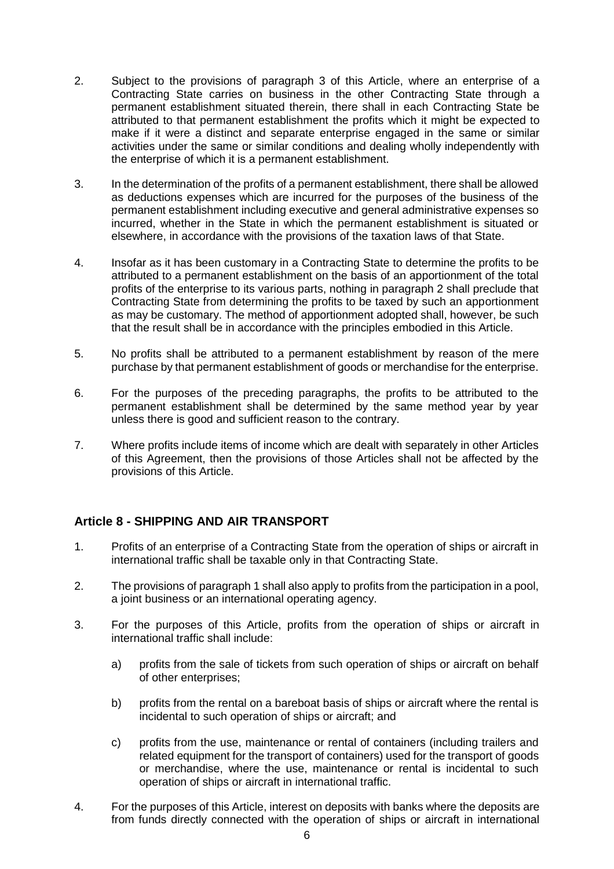- 2. Subject to the provisions of paragraph 3 of this Article, where an enterprise of a Contracting State carries on business in the other Contracting State through a permanent establishment situated therein, there shall in each Contracting State be attributed to that permanent establishment the profits which it might be expected to make if it were a distinct and separate enterprise engaged in the same or similar activities under the same or similar conditions and dealing wholly independently with the enterprise of which it is a permanent establishment.
- 3. In the determination of the profits of a permanent establishment, there shall be allowed as deductions expenses which are incurred for the purposes of the business of the permanent establishment including executive and general administrative expenses so incurred, whether in the State in which the permanent establishment is situated or elsewhere, in accordance with the provisions of the taxation laws of that State.
- 4. Insofar as it has been customary in a Contracting State to determine the profits to be attributed to a permanent establishment on the basis of an apportionment of the total profits of the enterprise to its various parts, nothing in paragraph 2 shall preclude that Contracting State from determining the profits to be taxed by such an apportionment as may be customary. The method of apportionment adopted shall, however, be such that the result shall be in accordance with the principles embodied in this Article.
- 5. No profits shall be attributed to a permanent establishment by reason of the mere purchase by that permanent establishment of goods or merchandise for the enterprise.
- 6. For the purposes of the preceding paragraphs, the profits to be attributed to the permanent establishment shall be determined by the same method year by year unless there is good and sufficient reason to the contrary.
- 7. Where profits include items of income which are dealt with separately in other Articles of this Agreement, then the provisions of those Articles shall not be affected by the provisions of this Article.

## **Article 8 - SHIPPING AND AIR TRANSPORT**

- 1. Profits of an enterprise of a Contracting State from the operation of ships or aircraft in international traffic shall be taxable only in that Contracting State.
- 2. The provisions of paragraph 1 shall also apply to profits from the participation in a pool, a joint business or an international operating agency.
- 3. For the purposes of this Article, profits from the operation of ships or aircraft in international traffic shall include:
	- a) profits from the sale of tickets from such operation of ships or aircraft on behalf of other enterprises;
	- b) profits from the rental on a bareboat basis of ships or aircraft where the rental is incidental to such operation of ships or aircraft; and
	- c) profits from the use, maintenance or rental of containers (including trailers and related equipment for the transport of containers) used for the transport of goods or merchandise, where the use, maintenance or rental is incidental to such operation of ships or aircraft in international traffic.
- 4. For the purposes of this Article, interest on deposits with banks where the deposits are from funds directly connected with the operation of ships or aircraft in international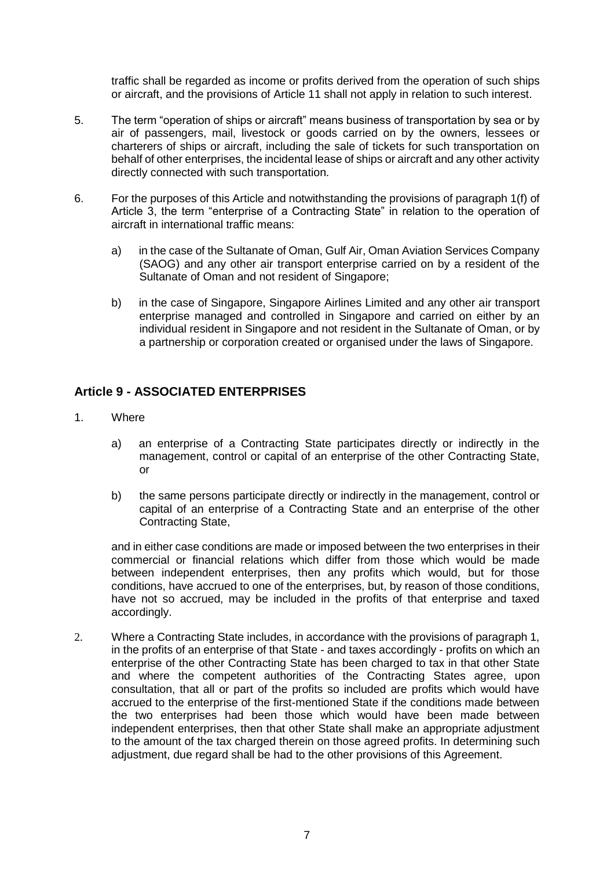traffic shall be regarded as income or profits derived from the operation of such ships or aircraft, and the provisions of Article 11 shall not apply in relation to such interest.

- 5. The term "operation of ships or aircraft" means business of transportation by sea or by air of passengers, mail, livestock or goods carried on by the owners, lessees or charterers of ships or aircraft, including the sale of tickets for such transportation on behalf of other enterprises, the incidental lease of ships or aircraft and any other activity directly connected with such transportation.
- 6. For the purposes of this Article and notwithstanding the provisions of paragraph 1(f) of Article 3, the term "enterprise of a Contracting State" in relation to the operation of aircraft in international traffic means:
	- a) in the case of the Sultanate of Oman, Gulf Air, Oman Aviation Services Company (SAOG) and any other air transport enterprise carried on by a resident of the Sultanate of Oman and not resident of Singapore;
	- b) in the case of Singapore, Singapore Airlines Limited and any other air transport enterprise managed and controlled in Singapore and carried on either by an individual resident in Singapore and not resident in the Sultanate of Oman, or by a partnership or corporation created or organised under the laws of Singapore.

## **Article 9 - ASSOCIATED ENTERPRISES**

- 1. Where
	- a) an enterprise of a Contracting State participates directly or indirectly in the management, control or capital of an enterprise of the other Contracting State, or
	- b) the same persons participate directly or indirectly in the management, control or capital of an enterprise of a Contracting State and an enterprise of the other Contracting State,

and in either case conditions are made or imposed between the two enterprises in their commercial or financial relations which differ from those which would be made between independent enterprises, then any profits which would, but for those conditions, have accrued to one of the enterprises, but, by reason of those conditions, have not so accrued, may be included in the profits of that enterprise and taxed accordingly.

2. Where a Contracting State includes, in accordance with the provisions of paragraph 1, in the profits of an enterprise of that State - and taxes accordingly - profits on which an enterprise of the other Contracting State has been charged to tax in that other State and where the competent authorities of the Contracting States agree, upon consultation, that all or part of the profits so included are profits which would have accrued to the enterprise of the first-mentioned State if the conditions made between the two enterprises had been those which would have been made between independent enterprises, then that other State shall make an appropriate adjustment to the amount of the tax charged therein on those agreed profits. In determining such adjustment, due regard shall be had to the other provisions of this Agreement.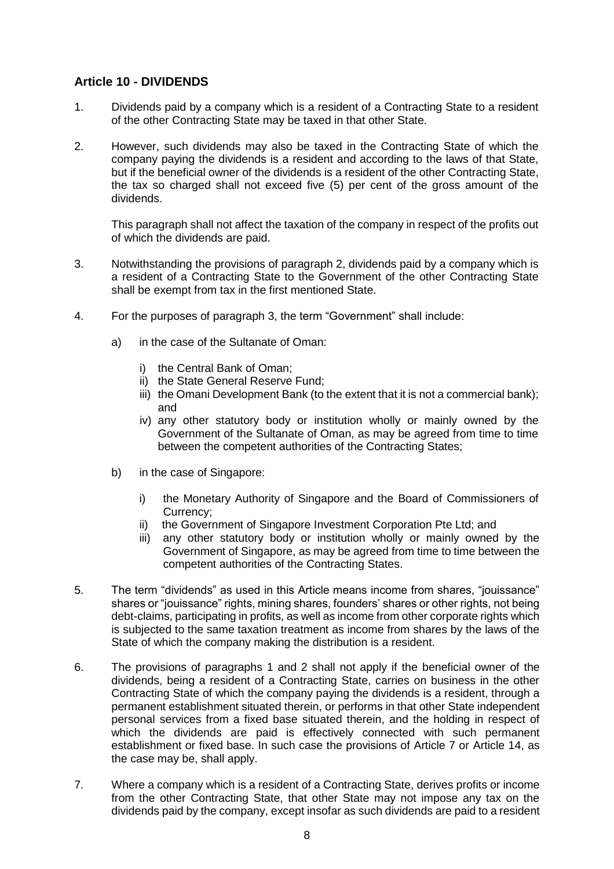## **Article 10 - DIVIDENDS**

- 1. Dividends paid by a company which is a resident of a Contracting State to a resident of the other Contracting State may be taxed in that other State.
- 2. However, such dividends may also be taxed in the Contracting State of which the company paying the dividends is a resident and according to the laws of that State, but if the beneficial owner of the dividends is a resident of the other Contracting State, the tax so charged shall not exceed five (5) per cent of the gross amount of the dividends.

This paragraph shall not affect the taxation of the company in respect of the profits out of which the dividends are paid.

- 3. Notwithstanding the provisions of paragraph 2, dividends paid by a company which is a resident of a Contracting State to the Government of the other Contracting State shall be exempt from tax in the first mentioned State.
- 4. For the purposes of paragraph 3, the term "Government" shall include:
	- a) in the case of the Sultanate of Oman:
		- i) the Central Bank of Oman;
		- ii) the State General Reserve Fund;
		- iii) the Omani Development Bank (to the extent that it is not a commercial bank); and
		- iv) any other statutory body or institution wholly or mainly owned by the Government of the Sultanate of Oman, as may be agreed from time to time between the competent authorities of the Contracting States;
	- b) in the case of Singapore:
		- i) the Monetary Authority of Singapore and the Board of Commissioners of Currency;
		- ii) the Government of Singapore Investment Corporation Pte Ltd; and
		- iii) any other statutory body or institution wholly or mainly owned by the Government of Singapore, as may be agreed from time to time between the competent authorities of the Contracting States.
- 5. The term "dividends" as used in this Article means income from shares, "jouissance" shares or "jouissance" rights, mining shares, founders' shares or other rights, not being debt-claims, participating in profits, as well as income from other corporate rights which is subjected to the same taxation treatment as income from shares by the laws of the State of which the company making the distribution is a resident.
- 6. The provisions of paragraphs 1 and 2 shall not apply if the beneficial owner of the dividends, being a resident of a Contracting State, carries on business in the other Contracting State of which the company paying the dividends is a resident, through a permanent establishment situated therein, or performs in that other State independent personal services from a fixed base situated therein, and the holding in respect of which the dividends are paid is effectively connected with such permanent establishment or fixed base. In such case the provisions of Article 7 or Article 14, as the case may be, shall apply.
- 7. Where a company which is a resident of a Contracting State, derives profits or income from the other Contracting State, that other State may not impose any tax on the dividends paid by the company, except insofar as such dividends are paid to a resident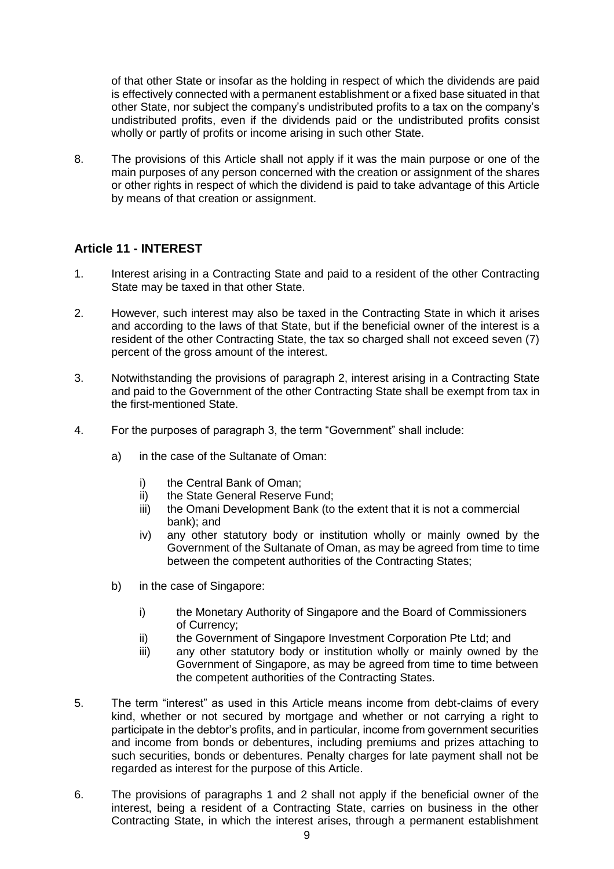of that other State or insofar as the holding in respect of which the dividends are paid is effectively connected with a permanent establishment or a fixed base situated in that other State, nor subject the company's undistributed profits to a tax on the company's undistributed profits, even if the dividends paid or the undistributed profits consist wholly or partly of profits or income arising in such other State.

8. The provisions of this Article shall not apply if it was the main purpose or one of the main purposes of any person concerned with the creation or assignment of the shares or other rights in respect of which the dividend is paid to take advantage of this Article by means of that creation or assignment.

## **Article 11 - INTEREST**

- 1. Interest arising in a Contracting State and paid to a resident of the other Contracting State may be taxed in that other State.
- 2. However, such interest may also be taxed in the Contracting State in which it arises and according to the laws of that State, but if the beneficial owner of the interest is a resident of the other Contracting State, the tax so charged shall not exceed seven (7) percent of the gross amount of the interest.
- 3. Notwithstanding the provisions of paragraph 2, interest arising in a Contracting State and paid to the Government of the other Contracting State shall be exempt from tax in the first-mentioned State.
- 4. For the purposes of paragraph 3, the term "Government" shall include:
	- a) in the case of the Sultanate of Oman:
		- i) the Central Bank of Oman;
		- ii) the State General Reserve Fund;
		- iii) the Omani Development Bank (to the extent that it is not a commercial bank); and
		- iv) any other statutory body or institution wholly or mainly owned by the Government of the Sultanate of Oman, as may be agreed from time to time between the competent authorities of the Contracting States;
	- b) in the case of Singapore:
		- i) the Monetary Authority of Singapore and the Board of Commissioners of Currency;
		- ii) the Government of Singapore Investment Corporation Pte Ltd; and
		- iii) any other statutory body or institution wholly or mainly owned by the Government of Singapore, as may be agreed from time to time between the competent authorities of the Contracting States.
- 5. The term "interest" as used in this Article means income from debt-claims of every kind, whether or not secured by mortgage and whether or not carrying a right to participate in the debtor's profits, and in particular, income from government securities and income from bonds or debentures, including premiums and prizes attaching to such securities, bonds or debentures. Penalty charges for late payment shall not be regarded as interest for the purpose of this Article.
- 6. The provisions of paragraphs 1 and 2 shall not apply if the beneficial owner of the interest, being a resident of a Contracting State, carries on business in the other Contracting State, in which the interest arises, through a permanent establishment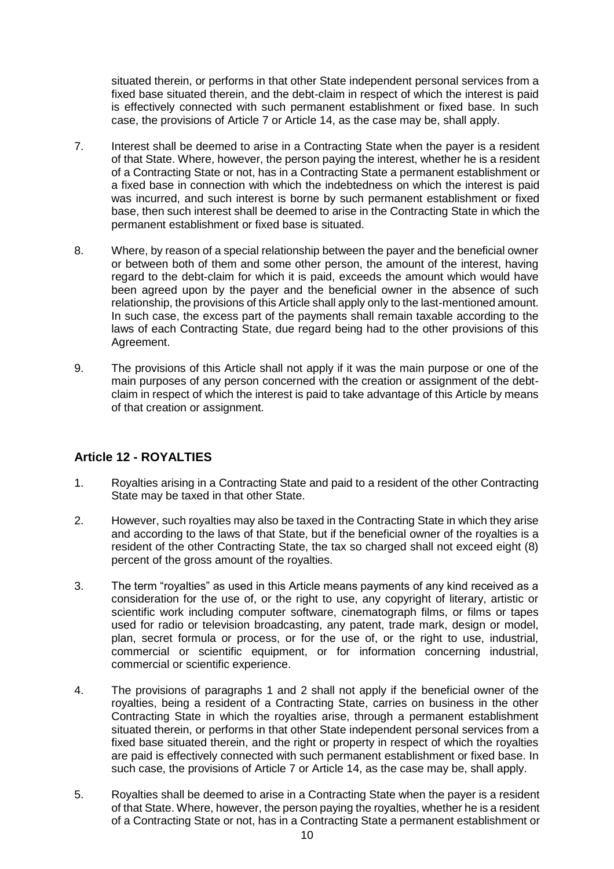situated therein, or performs in that other State independent personal services from a fixed base situated therein, and the debt-claim in respect of which the interest is paid is effectively connected with such permanent establishment or fixed base. In such case, the provisions of Article 7 or Article 14, as the case may be, shall apply.

- 7. Interest shall be deemed to arise in a Contracting State when the payer is a resident of that State. Where, however, the person paying the interest, whether he is a resident of a Contracting State or not, has in a Contracting State a permanent establishment or a fixed base in connection with which the indebtedness on which the interest is paid was incurred, and such interest is borne by such permanent establishment or fixed base, then such interest shall be deemed to arise in the Contracting State in which the permanent establishment or fixed base is situated.
- 8. Where, by reason of a special relationship between the payer and the beneficial owner or between both of them and some other person, the amount of the interest, having regard to the debt-claim for which it is paid, exceeds the amount which would have been agreed upon by the payer and the beneficial owner in the absence of such relationship, the provisions of this Article shall apply only to the last-mentioned amount. In such case, the excess part of the payments shall remain taxable according to the laws of each Contracting State, due regard being had to the other provisions of this Agreement.
- 9. The provisions of this Article shall not apply if it was the main purpose or one of the main purposes of any person concerned with the creation or assignment of the debtclaim in respect of which the interest is paid to take advantage of this Article by means of that creation or assignment.

## **Article 12 - ROYALTIES**

- 1. Royalties arising in a Contracting State and paid to a resident of the other Contracting State may be taxed in that other State.
- 2. However, such royalties may also be taxed in the Contracting State in which they arise and according to the laws of that State, but if the beneficial owner of the royalties is a resident of the other Contracting State, the tax so charged shall not exceed eight (8) percent of the gross amount of the royalties.
- 3. The term "royalties" as used in this Article means payments of any kind received as a consideration for the use of, or the right to use, any copyright of literary, artistic or scientific work including computer software, cinematograph films, or films or tapes used for radio or television broadcasting, any patent, trade mark, design or model, plan, secret formula or process, or for the use of, or the right to use, industrial, commercial or scientific equipment, or for information concerning industrial, commercial or scientific experience.
- 4. The provisions of paragraphs 1 and 2 shall not apply if the beneficial owner of the royalties, being a resident of a Contracting State, carries on business in the other Contracting State in which the royalties arise, through a permanent establishment situated therein, or performs in that other State independent personal services from a fixed base situated therein, and the right or property in respect of which the royalties are paid is effectively connected with such permanent establishment or fixed base. In such case, the provisions of Article 7 or Article 14, as the case may be, shall apply.
- 5. Royalties shall be deemed to arise in a Contracting State when the payer is a resident of that State. Where, however, the person paying the royalties, whether he is a resident of a Contracting State or not, has in a Contracting State a permanent establishment or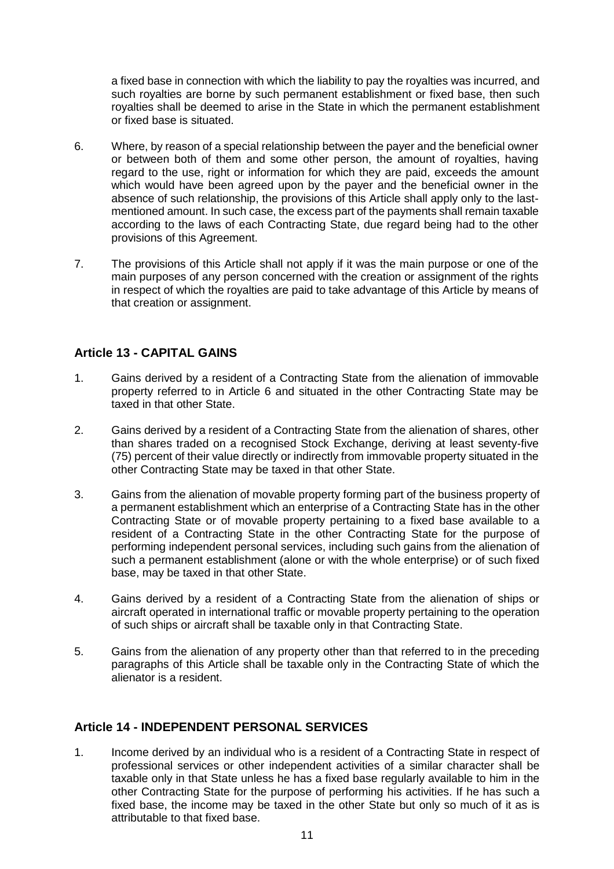a fixed base in connection with which the liability to pay the royalties was incurred, and such royalties are borne by such permanent establishment or fixed base, then such royalties shall be deemed to arise in the State in which the permanent establishment or fixed base is situated.

- 6. Where, by reason of a special relationship between the payer and the beneficial owner or between both of them and some other person, the amount of royalties, having regard to the use, right or information for which they are paid, exceeds the amount which would have been agreed upon by the payer and the beneficial owner in the absence of such relationship, the provisions of this Article shall apply only to the lastmentioned amount. In such case, the excess part of the payments shall remain taxable according to the laws of each Contracting State, due regard being had to the other provisions of this Agreement.
- 7. The provisions of this Article shall not apply if it was the main purpose or one of the main purposes of any person concerned with the creation or assignment of the rights in respect of which the royalties are paid to take advantage of this Article by means of that creation or assignment.

## **Article 13 - CAPITAL GAINS**

- 1. Gains derived by a resident of a Contracting State from the alienation of immovable property referred to in Article 6 and situated in the other Contracting State may be taxed in that other State.
- 2. Gains derived by a resident of a Contracting State from the alienation of shares, other than shares traded on a recognised Stock Exchange, deriving at least seventy-five (75) percent of their value directly or indirectly from immovable property situated in the other Contracting State may be taxed in that other State.
- 3. Gains from the alienation of movable property forming part of the business property of a permanent establishment which an enterprise of a Contracting State has in the other Contracting State or of movable property pertaining to a fixed base available to a resident of a Contracting State in the other Contracting State for the purpose of performing independent personal services, including such gains from the alienation of such a permanent establishment (alone or with the whole enterprise) or of such fixed base, may be taxed in that other State.
- 4. Gains derived by a resident of a Contracting State from the alienation of ships or aircraft operated in international traffic or movable property pertaining to the operation of such ships or aircraft shall be taxable only in that Contracting State.
- 5. Gains from the alienation of any property other than that referred to in the preceding paragraphs of this Article shall be taxable only in the Contracting State of which the alienator is a resident.

## **Article 14 - INDEPENDENT PERSONAL SERVICES**

1. Income derived by an individual who is a resident of a Contracting State in respect of professional services or other independent activities of a similar character shall be taxable only in that State unless he has a fixed base regularly available to him in the other Contracting State for the purpose of performing his activities. If he has such a fixed base, the income may be taxed in the other State but only so much of it as is attributable to that fixed base.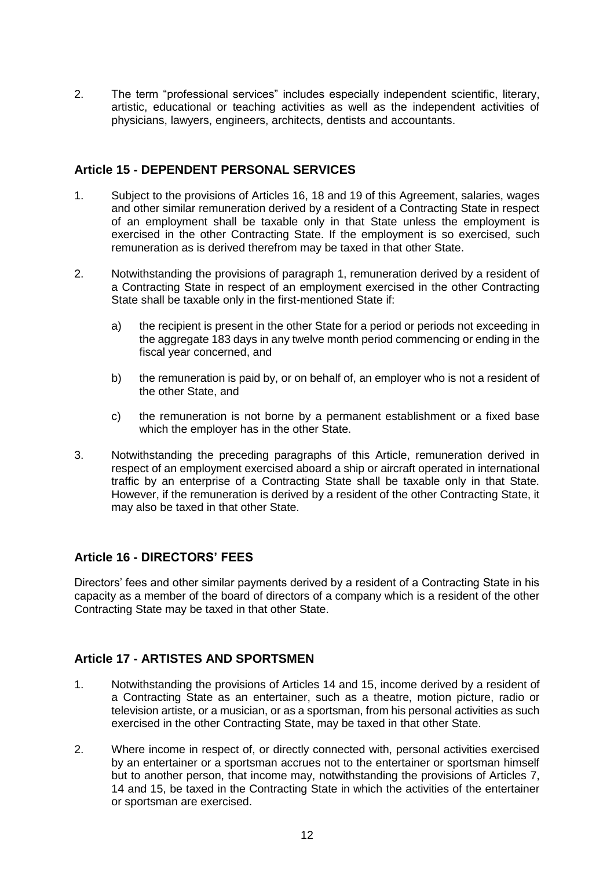2. The term "professional services" includes especially independent scientific, literary, artistic, educational or teaching activities as well as the independent activities of physicians, lawyers, engineers, architects, dentists and accountants.

## **Article 15 - DEPENDENT PERSONAL SERVICES**

- 1. Subject to the provisions of Articles 16, 18 and 19 of this Agreement, salaries, wages and other similar remuneration derived by a resident of a Contracting State in respect of an employment shall be taxable only in that State unless the employment is exercised in the other Contracting State. If the employment is so exercised, such remuneration as is derived therefrom may be taxed in that other State.
- 2. Notwithstanding the provisions of paragraph 1, remuneration derived by a resident of a Contracting State in respect of an employment exercised in the other Contracting State shall be taxable only in the first-mentioned State if:
	- a) the recipient is present in the other State for a period or periods not exceeding in the aggregate 183 days in any twelve month period commencing or ending in the fiscal year concerned, and
	- b) the remuneration is paid by, or on behalf of, an employer who is not a resident of the other State, and
	- c) the remuneration is not borne by a permanent establishment or a fixed base which the employer has in the other State.
- 3. Notwithstanding the preceding paragraphs of this Article, remuneration derived in respect of an employment exercised aboard a ship or aircraft operated in international traffic by an enterprise of a Contracting State shall be taxable only in that State. However, if the remuneration is derived by a resident of the other Contracting State, it may also be taxed in that other State.

## **Article 16 - DIRECTORS' FEES**

Directors' fees and other similar payments derived by a resident of a Contracting State in his capacity as a member of the board of directors of a company which is a resident of the other Contracting State may be taxed in that other State.

## **Article 17 - ARTISTES AND SPORTSMEN**

- 1. Notwithstanding the provisions of Articles 14 and 15, income derived by a resident of a Contracting State as an entertainer, such as a theatre, motion picture, radio or television artiste, or a musician, or as a sportsman, from his personal activities as such exercised in the other Contracting State, may be taxed in that other State.
- 2. Where income in respect of, or directly connected with, personal activities exercised by an entertainer or a sportsman accrues not to the entertainer or sportsman himself but to another person, that income may, notwithstanding the provisions of Articles 7, 14 and 15, be taxed in the Contracting State in which the activities of the entertainer or sportsman are exercised.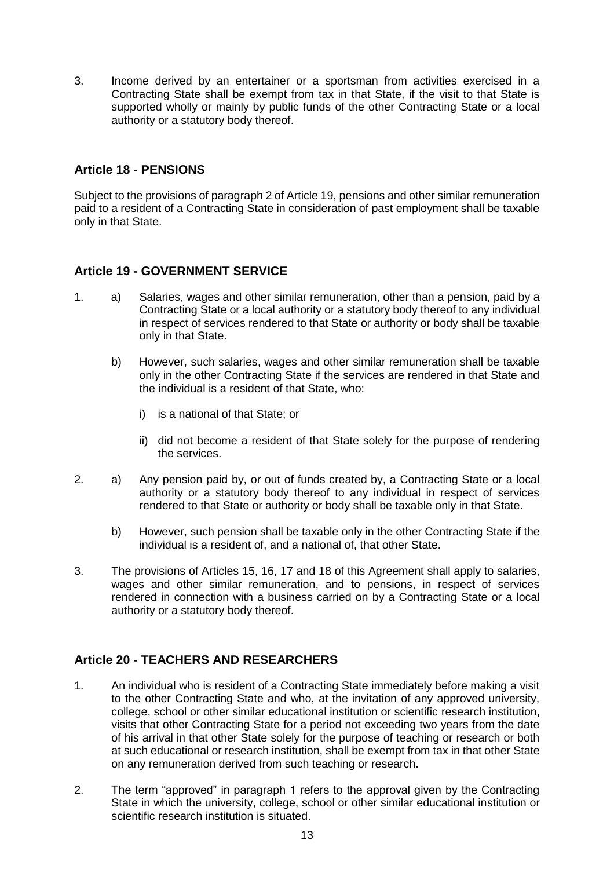3. Income derived by an entertainer or a sportsman from activities exercised in a Contracting State shall be exempt from tax in that State, if the visit to that State is supported wholly or mainly by public funds of the other Contracting State or a local authority or a statutory body thereof.

## **Article 18 - PENSIONS**

Subject to the provisions of paragraph 2 of Article 19, pensions and other similar remuneration paid to a resident of a Contracting State in consideration of past employment shall be taxable only in that State.

#### **Article 19 - GOVERNMENT SERVICE**

- 1. a) Salaries, wages and other similar remuneration, other than a pension, paid by a Contracting State or a local authority or a statutory body thereof to any individual in respect of services rendered to that State or authority or body shall be taxable only in that State.
	- b) However, such salaries, wages and other similar remuneration shall be taxable only in the other Contracting State if the services are rendered in that State and the individual is a resident of that State, who:
		- i) is a national of that State; or
		- ii) did not become a resident of that State solely for the purpose of rendering the services.
- 2. a) Any pension paid by, or out of funds created by, a Contracting State or a local authority or a statutory body thereof to any individual in respect of services rendered to that State or authority or body shall be taxable only in that State.
	- b) However, such pension shall be taxable only in the other Contracting State if the individual is a resident of, and a national of, that other State.
- 3. The provisions of Articles 15, 16, 17 and 18 of this Agreement shall apply to salaries, wages and other similar remuneration, and to pensions, in respect of services rendered in connection with a business carried on by a Contracting State or a local authority or a statutory body thereof.

## **Article 20 - TEACHERS AND RESEARCHERS**

- 1. An individual who is resident of a Contracting State immediately before making a visit to the other Contracting State and who, at the invitation of any approved university, college, school or other similar educational institution or scientific research institution, visits that other Contracting State for a period not exceeding two years from the date of his arrival in that other State solely for the purpose of teaching or research or both at such educational or research institution, shall be exempt from tax in that other State on any remuneration derived from such teaching or research.
- 2. The term "approved" in paragraph 1 refers to the approval given by the Contracting State in which the university, college, school or other similar educational institution or scientific research institution is situated.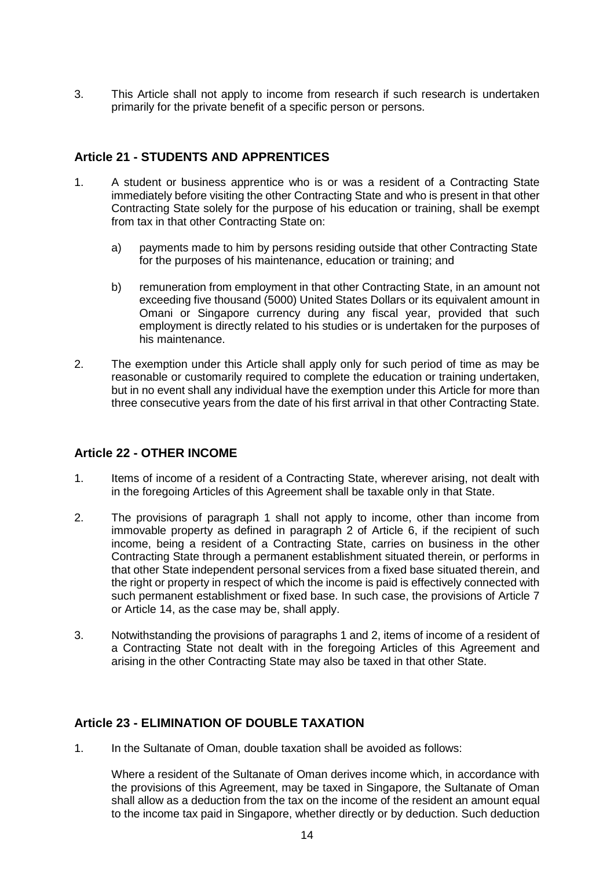3. This Article shall not apply to income from research if such research is undertaken primarily for the private benefit of a specific person or persons.

## **Article 21 - STUDENTS AND APPRENTICES**

- 1. A student or business apprentice who is or was a resident of a Contracting State immediately before visiting the other Contracting State and who is present in that other Contracting State solely for the purpose of his education or training, shall be exempt from tax in that other Contracting State on:
	- a) payments made to him by persons residing outside that other Contracting State for the purposes of his maintenance, education or training; and
	- b) remuneration from employment in that other Contracting State, in an amount not exceeding five thousand (5000) United States Dollars or its equivalent amount in Omani or Singapore currency during any fiscal year, provided that such employment is directly related to his studies or is undertaken for the purposes of his maintenance.
- 2. The exemption under this Article shall apply only for such period of time as may be reasonable or customarily required to complete the education or training undertaken, but in no event shall any individual have the exemption under this Article for more than three consecutive years from the date of his first arrival in that other Contracting State.

## **Article 22 - OTHER INCOME**

- 1. Items of income of a resident of a Contracting State, wherever arising, not dealt with in the foregoing Articles of this Agreement shall be taxable only in that State.
- 2. The provisions of paragraph 1 shall not apply to income, other than income from immovable property as defined in paragraph 2 of Article 6, if the recipient of such income, being a resident of a Contracting State, carries on business in the other Contracting State through a permanent establishment situated therein, or performs in that other State independent personal services from a fixed base situated therein, and the right or property in respect of which the income is paid is effectively connected with such permanent establishment or fixed base. In such case, the provisions of Article 7 or Article 14, as the case may be, shall apply.
- 3. Notwithstanding the provisions of paragraphs 1 and 2, items of income of a resident of a Contracting State not dealt with in the foregoing Articles of this Agreement and arising in the other Contracting State may also be taxed in that other State.

## **Article 23 - ELIMINATION OF DOUBLE TAXATION**

1. In the Sultanate of Oman, double taxation shall be avoided as follows:

Where a resident of the Sultanate of Oman derives income which, in accordance with the provisions of this Agreement, may be taxed in Singapore, the Sultanate of Oman shall allow as a deduction from the tax on the income of the resident an amount equal to the income tax paid in Singapore, whether directly or by deduction. Such deduction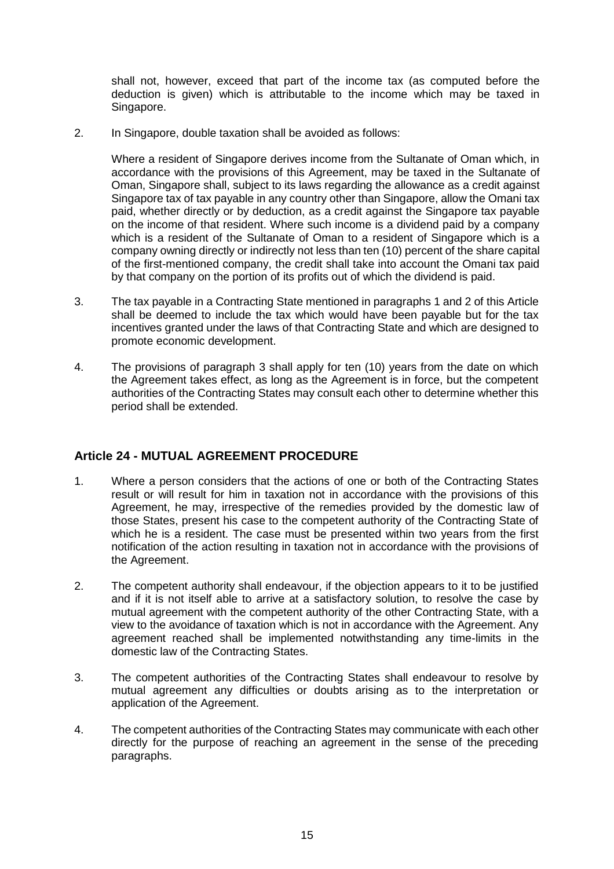shall not, however, exceed that part of the income tax (as computed before the deduction is given) which is attributable to the income which may be taxed in Singapore.

2. In Singapore, double taxation shall be avoided as follows:

Where a resident of Singapore derives income from the Sultanate of Oman which, in accordance with the provisions of this Agreement, may be taxed in the Sultanate of Oman, Singapore shall, subject to its laws regarding the allowance as a credit against Singapore tax of tax payable in any country other than Singapore, allow the Omani tax paid, whether directly or by deduction, as a credit against the Singapore tax payable on the income of that resident. Where such income is a dividend paid by a company which is a resident of the Sultanate of Oman to a resident of Singapore which is a company owning directly or indirectly not less than ten (10) percent of the share capital of the first-mentioned company, the credit shall take into account the Omani tax paid by that company on the portion of its profits out of which the dividend is paid.

- 3. The tax payable in a Contracting State mentioned in paragraphs 1 and 2 of this Article shall be deemed to include the tax which would have been payable but for the tax incentives granted under the laws of that Contracting State and which are designed to promote economic development.
- 4. The provisions of paragraph 3 shall apply for ten (10) years from the date on which the Agreement takes effect, as long as the Agreement is in force, but the competent authorities of the Contracting States may consult each other to determine whether this period shall be extended.

## **Article 24 - MUTUAL AGREEMENT PROCEDURE**

- 1. Where a person considers that the actions of one or both of the Contracting States result or will result for him in taxation not in accordance with the provisions of this Agreement, he may, irrespective of the remedies provided by the domestic law of those States, present his case to the competent authority of the Contracting State of which he is a resident. The case must be presented within two years from the first notification of the action resulting in taxation not in accordance with the provisions of the Agreement.
- 2. The competent authority shall endeavour, if the objection appears to it to be justified and if it is not itself able to arrive at a satisfactory solution, to resolve the case by mutual agreement with the competent authority of the other Contracting State, with a view to the avoidance of taxation which is not in accordance with the Agreement. Any agreement reached shall be implemented notwithstanding any time-limits in the domestic law of the Contracting States.
- 3. The competent authorities of the Contracting States shall endeavour to resolve by mutual agreement any difficulties or doubts arising as to the interpretation or application of the Agreement.
- 4. The competent authorities of the Contracting States may communicate with each other directly for the purpose of reaching an agreement in the sense of the preceding paragraphs.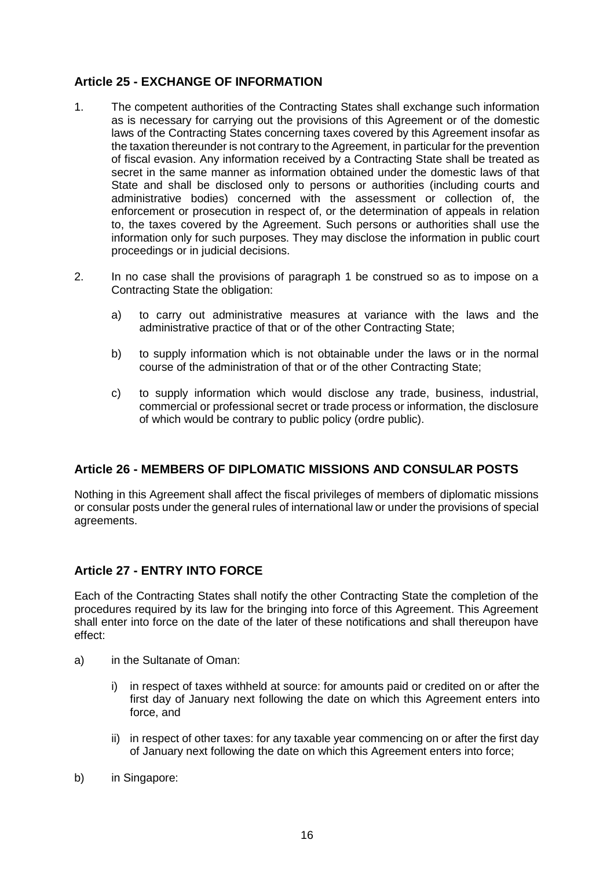# **Article 25 - EXCHANGE OF INFORMATION**

- 1. The competent authorities of the Contracting States shall exchange such information as is necessary for carrying out the provisions of this Agreement or of the domestic laws of the Contracting States concerning taxes covered by this Agreement insofar as the taxation thereunder is not contrary to the Agreement, in particular for the prevention of fiscal evasion. Any information received by a Contracting State shall be treated as secret in the same manner as information obtained under the domestic laws of that State and shall be disclosed only to persons or authorities (including courts and administrative bodies) concerned with the assessment or collection of, the enforcement or prosecution in respect of, or the determination of appeals in relation to, the taxes covered by the Agreement. Such persons or authorities shall use the information only for such purposes. They may disclose the information in public court proceedings or in judicial decisions.
- 2. In no case shall the provisions of paragraph 1 be construed so as to impose on a Contracting State the obligation:
	- a) to carry out administrative measures at variance with the laws and the administrative practice of that or of the other Contracting State;
	- b) to supply information which is not obtainable under the laws or in the normal course of the administration of that or of the other Contracting State;
	- c) to supply information which would disclose any trade, business, industrial, commercial or professional secret or trade process or information, the disclosure of which would be contrary to public policy (ordre public).

## **Article 26 - MEMBERS OF DIPLOMATIC MISSIONS AND CONSULAR POSTS**

Nothing in this Agreement shall affect the fiscal privileges of members of diplomatic missions or consular posts under the general rules of international law or under the provisions of special agreements.

## **Article 27 - ENTRY INTO FORCE**

Each of the Contracting States shall notify the other Contracting State the completion of the procedures required by its law for the bringing into force of this Agreement. This Agreement shall enter into force on the date of the later of these notifications and shall thereupon have effect:

- a) in the Sultanate of Oman:
	- i) in respect of taxes withheld at source: for amounts paid or credited on or after the first day of January next following the date on which this Agreement enters into force, and
	- ii) in respect of other taxes: for any taxable year commencing on or after the first day of January next following the date on which this Agreement enters into force;
- b) in Singapore: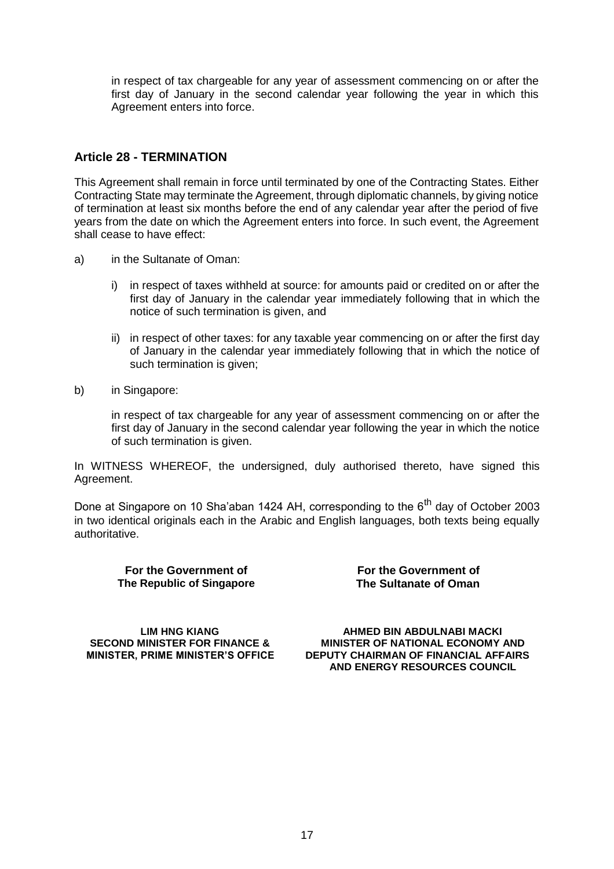in respect of tax chargeable for any year of assessment commencing on or after the first day of January in the second calendar year following the year in which this Agreement enters into force.

## **Article 28 - TERMINATION**

This Agreement shall remain in force until terminated by one of the Contracting States. Either Contracting State may terminate the Agreement, through diplomatic channels, by giving notice of termination at least six months before the end of any calendar year after the period of five years from the date on which the Agreement enters into force. In such event, the Agreement shall cease to have effect:

- a) in the Sultanate of Oman:
	- i) in respect of taxes withheld at source: for amounts paid or credited on or after the first day of January in the calendar year immediately following that in which the notice of such termination is given, and
	- ii) in respect of other taxes: for any taxable year commencing on or after the first day of January in the calendar year immediately following that in which the notice of such termination is given;
- b) in Singapore:

in respect of tax chargeable for any year of assessment commencing on or after the first day of January in the second calendar year following the year in which the notice of such termination is given.

In WITNESS WHEREOF, the undersigned, duly authorised thereto, have signed this Agreement.

Done at Singapore on 10 Sha'aban 1424 AH, corresponding to the  $6<sup>th</sup>$  day of October 2003 in two identical originals each in the Arabic and English languages, both texts being equally authoritative.

**For the Government of The Republic of Singapore**

**For the Government of The Sultanate of Oman**

**LIM HNG KIANG AHMED BIN ABDULNABI MACKI SECOND MINISTER FOR FINANCE & MINISTER OF NATIONAL ECONOMY AND MINISTER, PRIME MINISTER'S OFFICE DEPUTY CHAIRMAN OF FINANCIAL AFFAIRS AND ENERGY RESOURCES COUNCIL**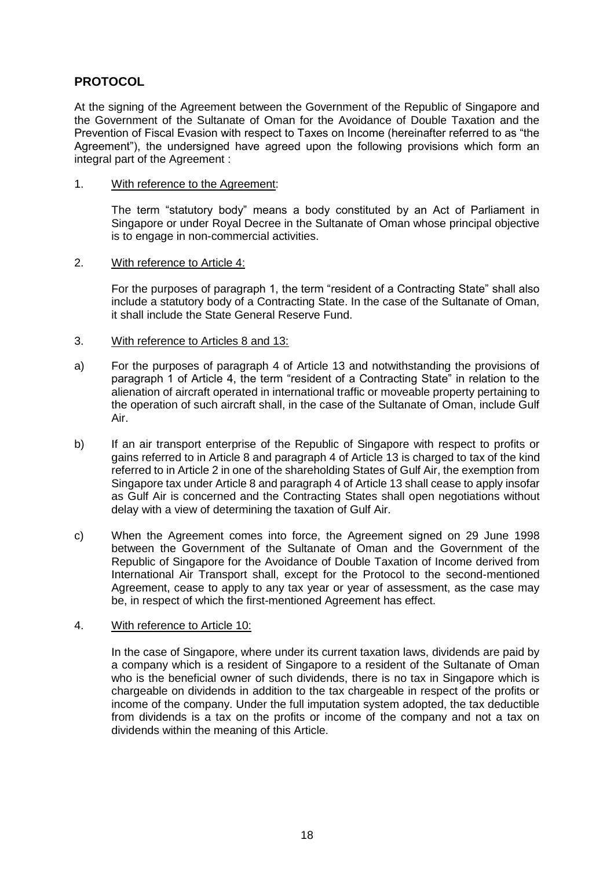## **PROTOCOL**

At the signing of the Agreement between the Government of the Republic of Singapore and the Government of the Sultanate of Oman for the Avoidance of Double Taxation and the Prevention of Fiscal Evasion with respect to Taxes on Income (hereinafter referred to as "the Agreement"), the undersigned have agreed upon the following provisions which form an integral part of the Agreement :

#### 1. With reference to the Agreement:

The term "statutory body" means a body constituted by an Act of Parliament in Singapore or under Royal Decree in the Sultanate of Oman whose principal objective is to engage in non-commercial activities.

#### 2. With reference to Article 4:

For the purposes of paragraph 1, the term "resident of a Contracting State" shall also include a statutory body of a Contracting State. In the case of the Sultanate of Oman, it shall include the State General Reserve Fund.

#### 3. With reference to Articles 8 and 13:

- a) For the purposes of paragraph 4 of Article 13 and notwithstanding the provisions of paragraph 1 of Article 4, the term "resident of a Contracting State" in relation to the alienation of aircraft operated in international traffic or moveable property pertaining to the operation of such aircraft shall, in the case of the Sultanate of Oman, include Gulf Air.
- b) If an air transport enterprise of the Republic of Singapore with respect to profits or gains referred to in Article 8 and paragraph 4 of Article 13 is charged to tax of the kind referred to in Article 2 in one of the shareholding States of Gulf Air, the exemption from Singapore tax under Article 8 and paragraph 4 of Article 13 shall cease to apply insofar as Gulf Air is concerned and the Contracting States shall open negotiations without delay with a view of determining the taxation of Gulf Air.
- c) When the Agreement comes into force, the Agreement signed on 29 June 1998 between the Government of the Sultanate of Oman and the Government of the Republic of Singapore for the Avoidance of Double Taxation of Income derived from International Air Transport shall, except for the Protocol to the second-mentioned Agreement, cease to apply to any tax year or year of assessment, as the case may be, in respect of which the first-mentioned Agreement has effect.

#### 4. With reference to Article 10:

In the case of Singapore, where under its current taxation laws, dividends are paid by a company which is a resident of Singapore to a resident of the Sultanate of Oman who is the beneficial owner of such dividends, there is no tax in Singapore which is chargeable on dividends in addition to the tax chargeable in respect of the profits or income of the company. Under the full imputation system adopted, the tax deductible from dividends is a tax on the profits or income of the company and not a tax on dividends within the meaning of this Article.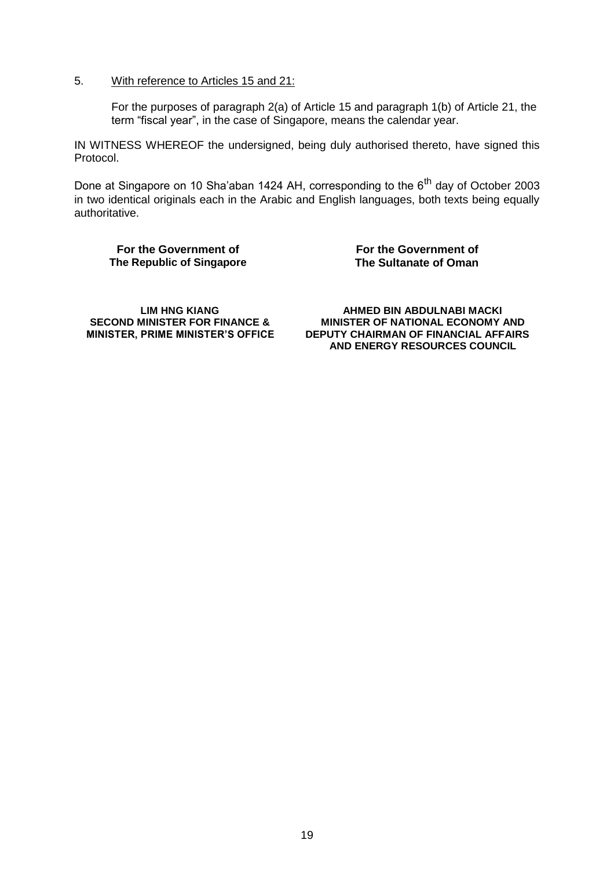#### 5. With reference to Articles 15 and 21:

For the purposes of paragraph 2(a) of Article 15 and paragraph 1(b) of Article 21, the term "fiscal year", in the case of Singapore, means the calendar year.

IN WITNESS WHEREOF the undersigned, being duly authorised thereto, have signed this Protocol.

Done at Singapore on 10 Sha'aban 1424 AH, corresponding to the 6<sup>th</sup> day of October 2003 in two identical originals each in the Arabic and English languages, both texts being equally authoritative.

**For the Government of The Republic of Singapore**

**For the Government of The Sultanate of Oman**

**MINISTER, PRIME MINISTER'S OFFICE** 

**LIM HNG KIANG AHMED BIN ABDULNABI MACKI**<br>SECOND MINISTER FOR FINANCE & MINISTER OF NATIONAL ECONOMY **MINISTER OF NATIONAL ECONOMY AND DEPUTY CHAIRMAN OF FINANCIAL AFFAIRS AND ENERGY RESOURCES COUNCIL**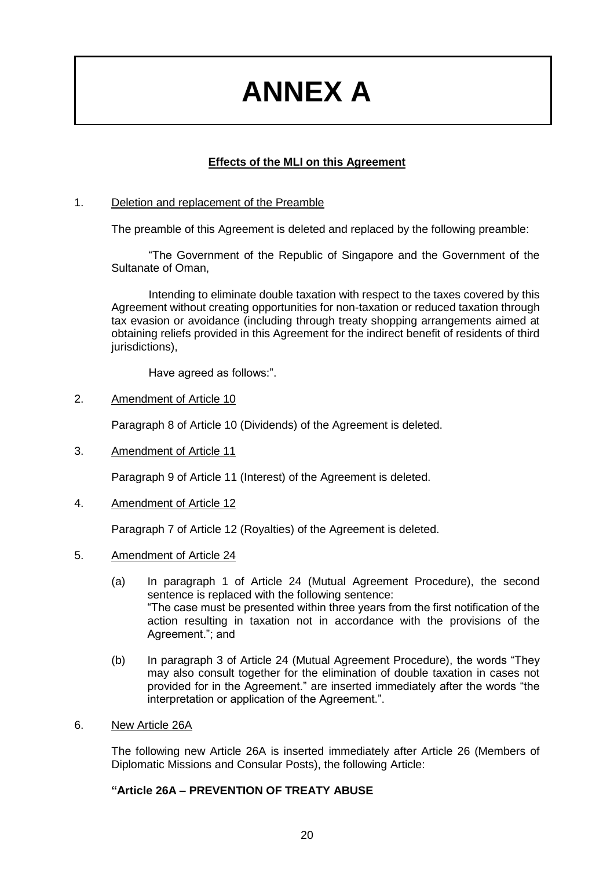# **ANNEX A**

## **Effects of the MLI on this Agreement**

#### 1. Deletion and replacement of the Preamble

The preamble of this Agreement is deleted and replaced by the following preamble:

"The Government of the Republic of Singapore and the Government of the Sultanate of Oman,

Intending to eliminate double taxation with respect to the taxes covered by this Agreement without creating opportunities for non-taxation or reduced taxation through tax evasion or avoidance (including through treaty shopping arrangements aimed at obtaining reliefs provided in this Agreement for the indirect benefit of residents of third jurisdictions),

Have agreed as follows:".

#### 2. Amendment of Article 10

Paragraph 8 of Article 10 (Dividends) of the Agreement is deleted.

3. Amendment of Article 11

Paragraph 9 of Article 11 (Interest) of the Agreement is deleted.

4. Amendment of Article 12

Paragraph 7 of Article 12 (Royalties) of the Agreement is deleted.

- 5. Amendment of Article 24
	- (a) In paragraph 1 of Article 24 (Mutual Agreement Procedure), the second sentence is replaced with the following sentence: "The case must be presented within three years from the first notification of the action resulting in taxation not in accordance with the provisions of the Agreement."; and
	- (b) In paragraph 3 of Article 24 (Mutual Agreement Procedure), the words "They may also consult together for the elimination of double taxation in cases not provided for in the Agreement." are inserted immediately after the words "the interpretation or application of the Agreement.".
- 6. New Article 26A

The following new Article 26A is inserted immediately after Article 26 (Members of Diplomatic Missions and Consular Posts), the following Article:

#### **"Article 26A – PREVENTION OF TREATY ABUSE**